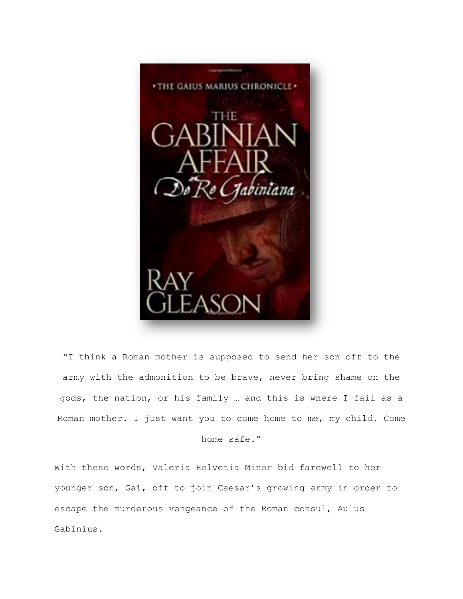

"I think a Roman mother is supposed to send her son off to the army with the admonition to be brave, never bring shame on the gods, the nation, or his family … and this is where I fail as a Roman mother. I just want you to come home to me, my child. Come home safe."

With these words, Valeria Helvetia Minor bid farewell to her younger son, Gai, off to join Caesar's growing army in order to escape the murderous vengeance of the Roman consul, Aulus Gabinius.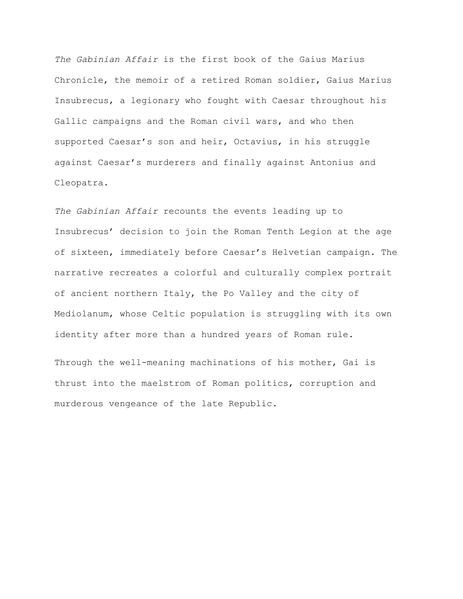*The Gabinian Affair* is the first book of the Gaius Marius Chronicle, the memoir of a retired Roman soldier, Gaius Marius Insubrecus, a legionary who fought with Caesar throughout his Gallic campaigns and the Roman civil wars, and who then supported Caesar's son and heir, Octavius, in his struggle against Caesar's murderers and finally against Antonius and Cleopatra.

*The Gabinian Affair* recounts the events leading up to Insubrecus' decision to join the Roman Tenth Legion at the age of sixteen, immediately before Caesar's Helvetian campaign. The narrative recreates a colorful and culturally complex portrait of ancient northern Italy, the Po Valley and the city of Mediolanum, whose Celtic population is struggling with its own identity after more than a hundred years of Roman rule.

Through the well-meaning machinations of his mother, Gai is thrust into the maelstrom of Roman politics, corruption and murderous vengeance of the late Republic.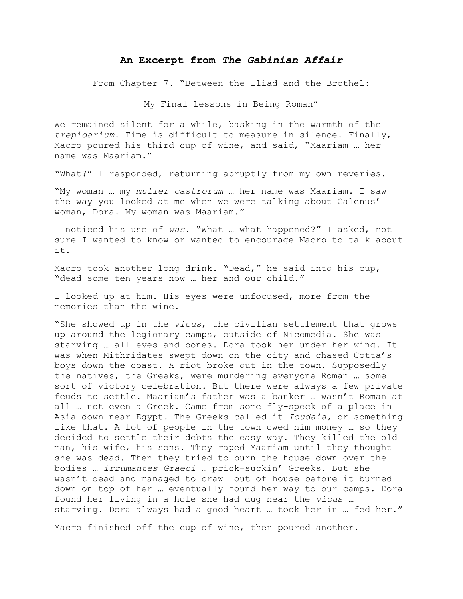## **An Excerpt from** *The Gabinian Affair*

From Chapter 7. "Between the Iliad and the Brothel:

My Final Lessons in Being Roman"

We remained silent for a while, basking in the warmth of the *trepidarium*. Time is difficult to measure in silence. Finally, Macro poured his third cup of wine, and said, "Maariam … her name was Maariam."

"What?" I responded, returning abruptly from my own reveries.

"My woman … my *mulier castrorum* … her name was Maariam. I saw the way you looked at me when we were talking about Galenus' woman, Dora. My woman was Maariam."

I noticed his use of *was*. "What … what happened?" I asked, not sure I wanted to know or wanted to encourage Macro to talk about it.

Macro took another long drink. "Dead," he said into his cup, "dead some ten years now … her and our child."

I looked up at him. His eyes were unfocused, more from the memories than the wine.

"She showed up in the *vicus*, the civilian settlement that grows up around the legionary camps, outside of Nicomedia. She was starving … all eyes and bones. Dora took her under her wing. It was when Mithridates swept down on the city and chased Cotta's boys down the coast. A riot broke out in the town. Supposedly the natives, the Greeks, were murdering everyone Roman … some sort of victory celebration. But there were always a few private feuds to settle. Maariam's father was a banker … wasn't Roman at all … not even a Greek. Came from some fly-speck of a place in Asia down near Egypt. The Greeks called it *Ioudaia,* or something like that. A lot of people in the town owed him money … so they decided to settle their debts the easy way. They killed the old man, his wife, his sons. They raped Maariam until they thought she was dead. Then they tried to burn the house down over the bodies … *irrumantes Graeci* … prick-suckin' Greeks. But she wasn't dead and managed to crawl out of house before it burned down on top of her … eventually found her way to our camps. Dora found her living in a hole she had dug near the *vicus …* starving. Dora always had a good heart … took her in … fed her."

Macro finished off the cup of wine, then poured another.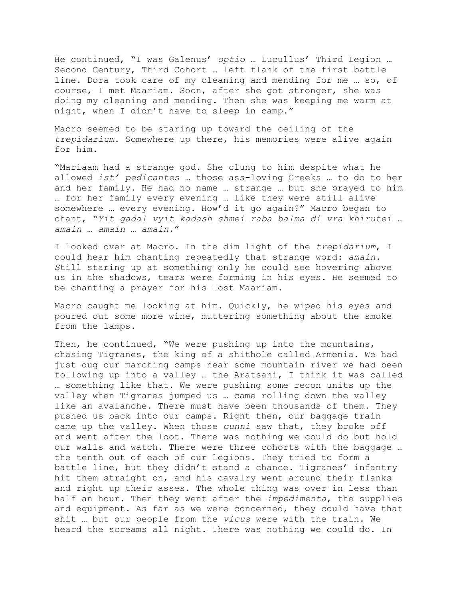He continued, "I was Galenus' *optio* … Lucullus' Third Legion … Second Century, Third Cohort … left flank of the first battle line. Dora took care of my cleaning and mending for me … so, of course, I met Maariam. Soon, after she got stronger, she was doing my cleaning and mending. Then she was keeping me warm at night, when I didn't have to sleep in camp."

Macro seemed to be staring up toward the ceiling of the *trepidarium*. Somewhere up there, his memories were alive again for him.

"Mariaam had a strange god. She clung to him despite what he allowed *ist' pedicantes …* those ass-loving Greeks … to do to her and her family. He had no name … strange … but she prayed to him … for her family every evening … like they were still alive somewhere … every evening. How'd it go again?" Macro began to chant, "*Yit gadal vyit kadash shmei raba balma di vra khirutei … amain … amain … amain.*"

I looked over at Macro. In the dim light of the *trepidarium*, I could hear him chanting repeatedly that strange word: *amain. S*till staring up at something only he could see hovering above us in the shadows, tears were forming in his eyes. He seemed to be chanting a prayer for his lost Maariam.

Macro caught me looking at him. Quickly, he wiped his eyes and poured out some more wine, muttering something about the smoke from the lamps.

Then, he continued, "We were pushing up into the mountains, chasing Tigranes, the king of a shithole called Armenia. We had just dug our marching camps near some mountain river we had been following up into a valley … the Aratsani, I think it was called … something like that. We were pushing some recon units up the valley when Tigranes jumped us … came rolling down the valley like an avalanche. There must have been thousands of them. They pushed us back into our camps. Right then, our baggage train came up the valley. When those *cunni* saw that, they broke off and went after the loot. There was nothing we could do but hold our walls and watch. There were three cohorts with the baggage … the tenth out of each of our legions. They tried to form a battle line, but they didn't stand a chance. Tigranes' infantry hit them straight on, and his cavalry went around their flanks and right up their asses. The whole thing was over in less than half an hour. Then they went after the *impedimenta*, the supplies and equipment. As far as we were concerned, they could have that shit … but our people from the *vicus* were with the train. We heard the screams all night. There was nothing we could do. In